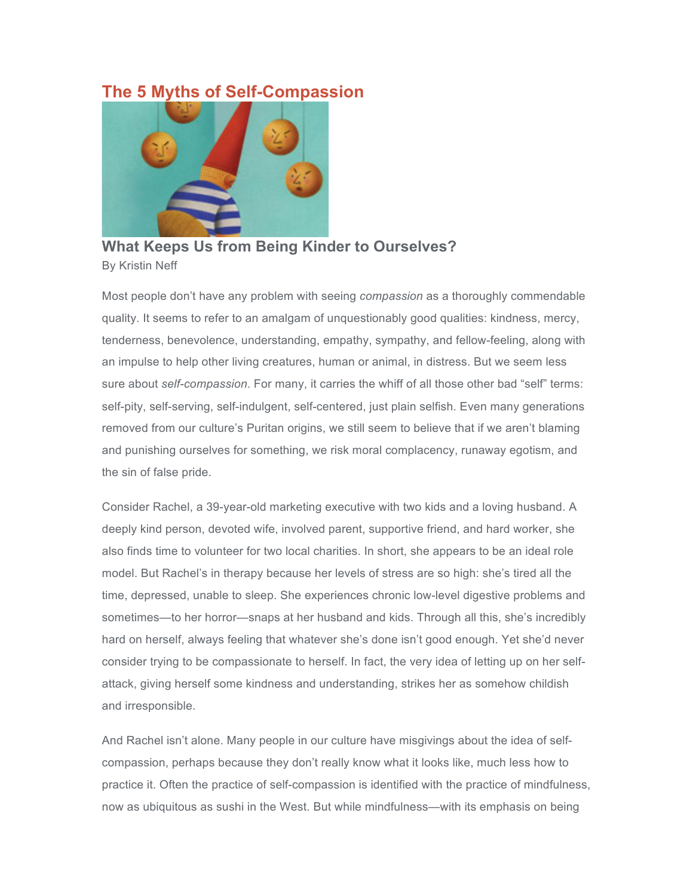# **The 5 Myths of Self-Compassion**



**What Keeps Us from Being Kinder to Ourselves?** By Kristin Neff

Most people don't have any problem with seeing *compassion* as a thoroughly commendable quality. It seems to refer to an amalgam of unquestionably good qualities: kindness, mercy, tenderness, benevolence, understanding, empathy, sympathy, and fellow-feeling, along with an impulse to help other living creatures, human or animal, in distress. But we seem less sure about *self-compassion*. For many, it carries the whiff of all those other bad "self" terms: self-pity, self-serving, self-indulgent, self-centered, just plain selfish. Even many generations removed from our culture's Puritan origins, we still seem to believe that if we aren't blaming and punishing ourselves for something, we risk moral complacency, runaway egotism, and the sin of false pride.

Consider Rachel, a 39-year-old marketing executive with two kids and a loving husband. A deeply kind person, devoted wife, involved parent, supportive friend, and hard worker, she also finds time to volunteer for two local charities. In short, she appears to be an ideal role model. But Rachel's in therapy because her levels of stress are so high: she's tired all the time, depressed, unable to sleep. She experiences chronic low-level digestive problems and sometimes—to her horror—snaps at her husband and kids. Through all this, she's incredibly hard on herself, always feeling that whatever she's done isn't good enough. Yet she'd never consider trying to be compassionate to herself. In fact, the very idea of letting up on her selfattack, giving herself some kindness and understanding, strikes her as somehow childish and irresponsible.

And Rachel isn't alone. Many people in our culture have misgivings about the idea of selfcompassion, perhaps because they don't really know what it looks like, much less how to practice it. Often the practice of self-compassion is identified with the practice of mindfulness, now as ubiquitous as sushi in the West. But while mindfulness—with its emphasis on being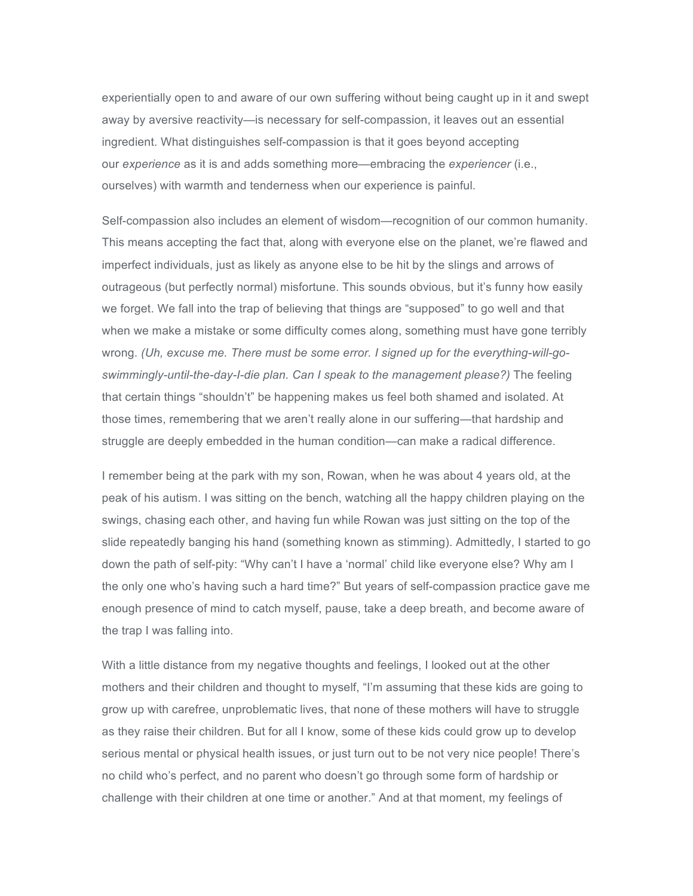experientially open to and aware of our own suffering without being caught up in it and swept away by aversive reactivity—is necessary for self-compassion, it leaves out an essential ingredient. What distinguishes self-compassion is that it goes beyond accepting our *experience* as it is and adds something more—embracing the *experiencer* (i.e., ourselves) with warmth and tenderness when our experience is painful.

Self-compassion also includes an element of wisdom—recognition of our common humanity. This means accepting the fact that, along with everyone else on the planet, we're flawed and imperfect individuals, just as likely as anyone else to be hit by the slings and arrows of outrageous (but perfectly normal) misfortune. This sounds obvious, but it's funny how easily we forget. We fall into the trap of believing that things are "supposed" to go well and that when we make a mistake or some difficulty comes along, something must have gone terribly wrong. *(Uh, excuse me. There must be some error. I signed up for the everything-will-goswimmingly-until-the-day-I-die plan. Can I speak to the management please?)* The feeling that certain things "shouldn't" be happening makes us feel both shamed and isolated. At those times, remembering that we aren't really alone in our suffering—that hardship and struggle are deeply embedded in the human condition—can make a radical difference.

I remember being at the park with my son, Rowan, when he was about 4 years old, at the peak of his autism. I was sitting on the bench, watching all the happy children playing on the swings, chasing each other, and having fun while Rowan was just sitting on the top of the slide repeatedly banging his hand (something known as stimming). Admittedly, I started to go down the path of self-pity: "Why can't I have a 'normal' child like everyone else? Why am I the only one who's having such a hard time?" But years of self-compassion practice gave me enough presence of mind to catch myself, pause, take a deep breath, and become aware of the trap I was falling into.

With a little distance from my negative thoughts and feelings, I looked out at the other mothers and their children and thought to myself, "I'm assuming that these kids are going to grow up with carefree, unproblematic lives, that none of these mothers will have to struggle as they raise their children. But for all I know, some of these kids could grow up to develop serious mental or physical health issues, or just turn out to be not very nice people! There's no child who's perfect, and no parent who doesn't go through some form of hardship or challenge with their children at one time or another." And at that moment, my feelings of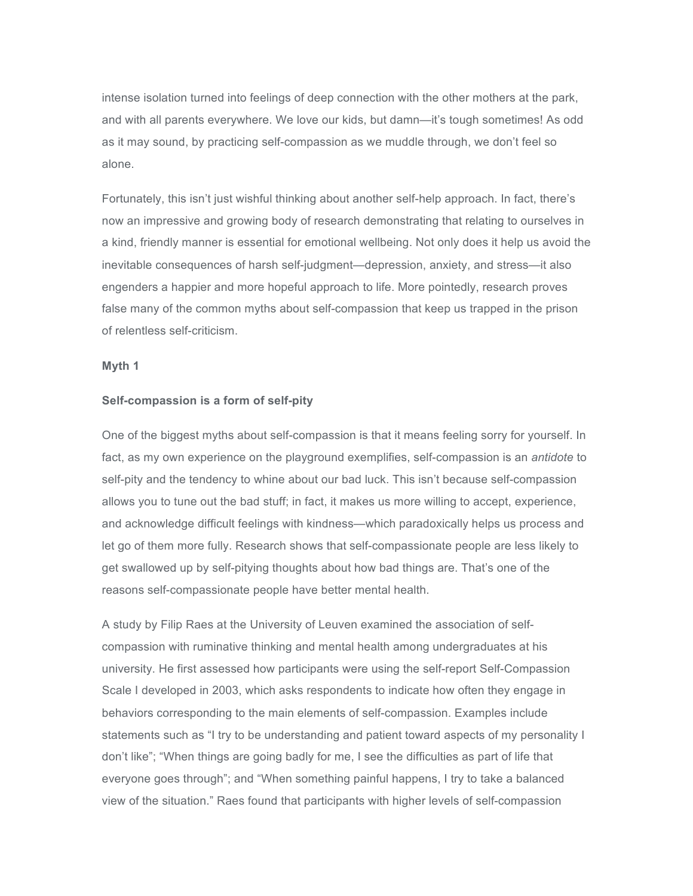intense isolation turned into feelings of deep connection with the other mothers at the park, and with all parents everywhere. We love our kids, but damn—it's tough sometimes! As odd as it may sound, by practicing self-compassion as we muddle through, we don't feel so alone.

Fortunately, this isn't just wishful thinking about another self-help approach. In fact, there's now an impressive and growing body of research demonstrating that relating to ourselves in a kind, friendly manner is essential for emotional wellbeing. Not only does it help us avoid the inevitable consequences of harsh self-judgment—depression, anxiety, and stress—it also engenders a happier and more hopeful approach to life. More pointedly, research proves false many of the common myths about self-compassion that keep us trapped in the prison of relentless self-criticism.

#### **Myth 1**

#### **Self-compassion is a form of self-pity**

One of the biggest myths about self-compassion is that it means feeling sorry for yourself. In fact, as my own experience on the playground exemplifies, self-compassion is an *antidote* to self-pity and the tendency to whine about our bad luck. This isn't because self-compassion allows you to tune out the bad stuff; in fact, it makes us more willing to accept, experience, and acknowledge difficult feelings with kindness—which paradoxically helps us process and let go of them more fully. Research shows that self-compassionate people are less likely to get swallowed up by self-pitying thoughts about how bad things are. That's one of the reasons self-compassionate people have better mental health.

A study by Filip Raes at the University of Leuven examined the association of selfcompassion with ruminative thinking and mental health among undergraduates at his university. He first assessed how participants were using the self-report Self-Compassion Scale I developed in 2003, which asks respondents to indicate how often they engage in behaviors corresponding to the main elements of self-compassion. Examples include statements such as "I try to be understanding and patient toward aspects of my personality I don't like"; "When things are going badly for me, I see the difficulties as part of life that everyone goes through"; and "When something painful happens, I try to take a balanced view of the situation." Raes found that participants with higher levels of self-compassion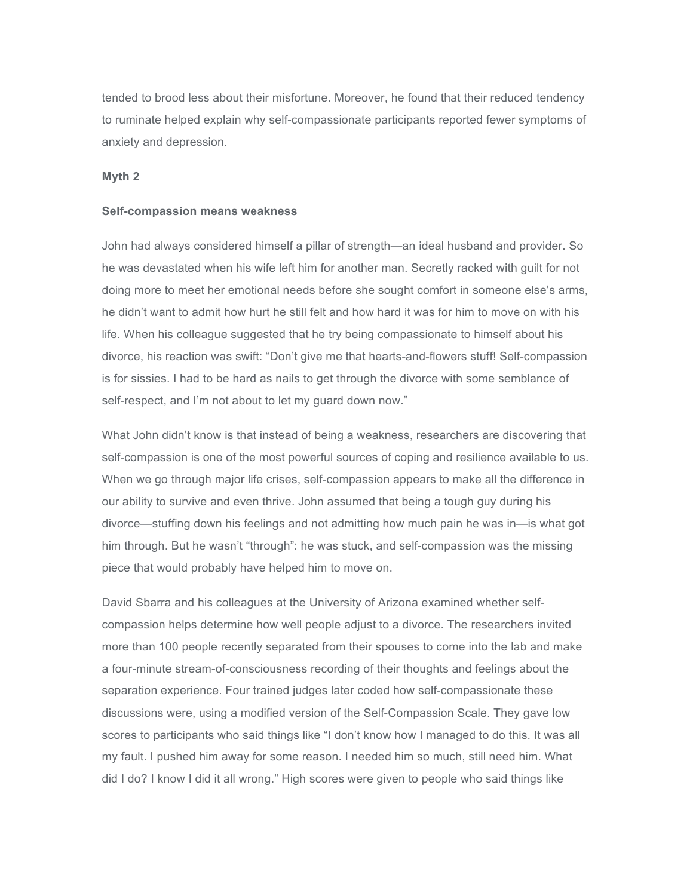tended to brood less about their misfortune. Moreover, he found that their reduced tendency to ruminate helped explain why self-compassionate participants reported fewer symptoms of anxiety and depression.

#### **Myth 2**

#### **Self-compassion means weakness**

John had always considered himself a pillar of strength—an ideal husband and provider. So he was devastated when his wife left him for another man. Secretly racked with guilt for not doing more to meet her emotional needs before she sought comfort in someone else's arms, he didn't want to admit how hurt he still felt and how hard it was for him to move on with his life. When his colleague suggested that he try being compassionate to himself about his divorce, his reaction was swift: "Don't give me that hearts-and-flowers stuff! Self-compassion is for sissies. I had to be hard as nails to get through the divorce with some semblance of self-respect, and I'm not about to let my guard down now."

What John didn't know is that instead of being a weakness, researchers are discovering that self-compassion is one of the most powerful sources of coping and resilience available to us. When we go through major life crises, self-compassion appears to make all the difference in our ability to survive and even thrive. John assumed that being a tough guy during his divorce—stuffing down his feelings and not admitting how much pain he was in—is what got him through. But he wasn't "through": he was stuck, and self-compassion was the missing piece that would probably have helped him to move on.

David Sbarra and his colleagues at the University of Arizona examined whether selfcompassion helps determine how well people adjust to a divorce. The researchers invited more than 100 people recently separated from their spouses to come into the lab and make a four-minute stream-of-consciousness recording of their thoughts and feelings about the separation experience. Four trained judges later coded how self-compassionate these discussions were, using a modified version of the Self-Compassion Scale. They gave low scores to participants who said things like "I don't know how I managed to do this. It was all my fault. I pushed him away for some reason. I needed him so much, still need him. What did I do? I know I did it all wrong." High scores were given to people who said things like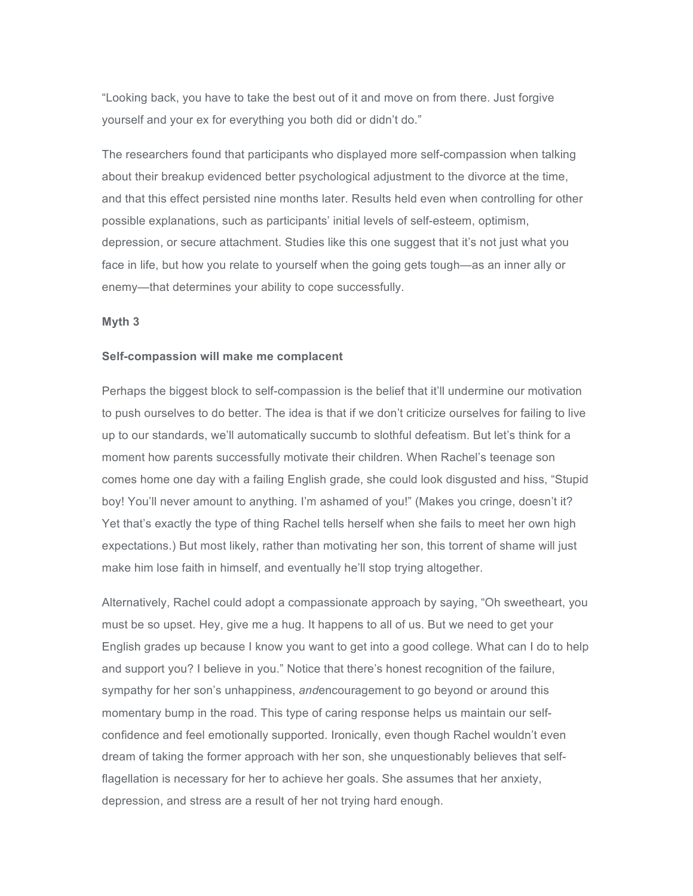"Looking back, you have to take the best out of it and move on from there. Just forgive yourself and your ex for everything you both did or didn't do."

The researchers found that participants who displayed more self-compassion when talking about their breakup evidenced better psychological adjustment to the divorce at the time, and that this effect persisted nine months later. Results held even when controlling for other possible explanations, such as participants' initial levels of self-esteem, optimism, depression, or secure attachment. Studies like this one suggest that it's not just what you face in life, but how you relate to yourself when the going gets tough—as an inner ally or enemy—that determines your ability to cope successfully.

## **Myth 3**

#### **Self-compassion will make me complacent**

Perhaps the biggest block to self-compassion is the belief that it'll undermine our motivation to push ourselves to do better. The idea is that if we don't criticize ourselves for failing to live up to our standards, we'll automatically succumb to slothful defeatism. But let's think for a moment how parents successfully motivate their children. When Rachel's teenage son comes home one day with a failing English grade, she could look disgusted and hiss, "Stupid boy! You'll never amount to anything. I'm ashamed of you!" (Makes you cringe, doesn't it? Yet that's exactly the type of thing Rachel tells herself when she fails to meet her own high expectations.) But most likely, rather than motivating her son, this torrent of shame will just make him lose faith in himself, and eventually he'll stop trying altogether.

Alternatively, Rachel could adopt a compassionate approach by saying, "Oh sweetheart, you must be so upset. Hey, give me a hug. It happens to all of us. But we need to get your English grades up because I know you want to get into a good college. What can I do to help and support you? I believe in you." Notice that there's honest recognition of the failure, sympathy for her son's unhappiness, *and*encouragement to go beyond or around this momentary bump in the road. This type of caring response helps us maintain our selfconfidence and feel emotionally supported. Ironically, even though Rachel wouldn't even dream of taking the former approach with her son, she unquestionably believes that selfflagellation is necessary for her to achieve her goals. She assumes that her anxiety, depression, and stress are a result of her not trying hard enough.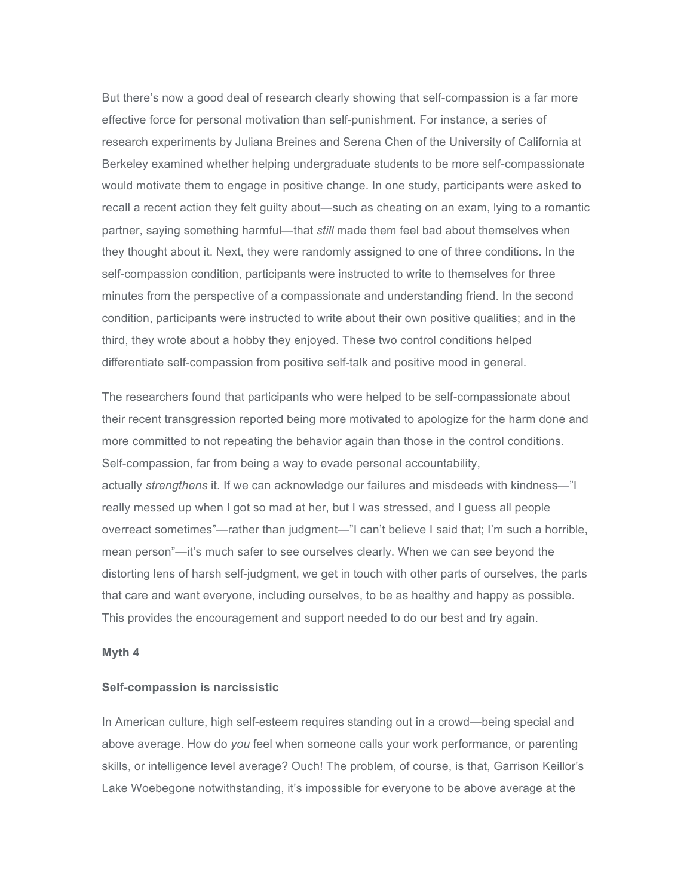But there's now a good deal of research clearly showing that self-compassion is a far more effective force for personal motivation than self-punishment. For instance, a series of research experiments by Juliana Breines and Serena Chen of the University of California at Berkeley examined whether helping undergraduate students to be more self-compassionate would motivate them to engage in positive change. In one study, participants were asked to recall a recent action they felt guilty about—such as cheating on an exam, lying to a romantic partner, saying something harmful—that *still* made them feel bad about themselves when they thought about it. Next, they were randomly assigned to one of three conditions. In the self-compassion condition, participants were instructed to write to themselves for three minutes from the perspective of a compassionate and understanding friend. In the second condition, participants were instructed to write about their own positive qualities; and in the third, they wrote about a hobby they enjoyed. These two control conditions helped differentiate self-compassion from positive self-talk and positive mood in general.

The researchers found that participants who were helped to be self-compassionate about their recent transgression reported being more motivated to apologize for the harm done and more committed to not repeating the behavior again than those in the control conditions. Self-compassion, far from being a way to evade personal accountability, actually *strengthens* it. If we can acknowledge our failures and misdeeds with kindness—"I really messed up when I got so mad at her, but I was stressed, and I guess all people overreact sometimes"—rather than judgment—"I can't believe I said that; I'm such a horrible, mean person"—it's much safer to see ourselves clearly. When we can see beyond the distorting lens of harsh self-judgment, we get in touch with other parts of ourselves, the parts that care and want everyone, including ourselves, to be as healthy and happy as possible. This provides the encouragement and support needed to do our best and try again.

## **Myth 4**

#### **Self-compassion is narcissistic**

In American culture, high self-esteem requires standing out in a crowd—being special and above average. How do *you* feel when someone calls your work performance, or parenting skills, or intelligence level average? Ouch! The problem, of course, is that, Garrison Keillor's Lake Woebegone notwithstanding, it's impossible for everyone to be above average at the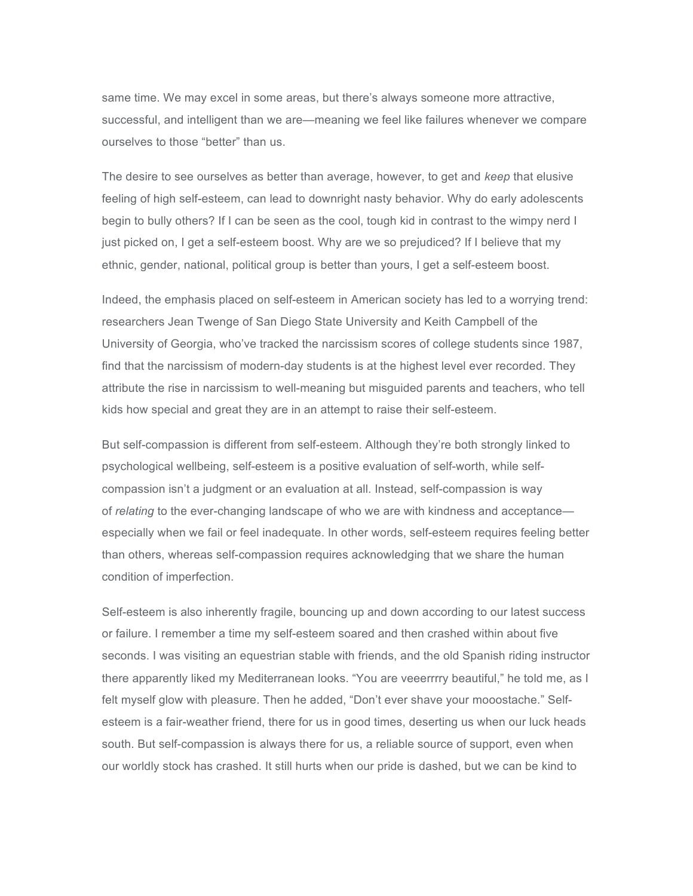same time. We may excel in some areas, but there's always someone more attractive, successful, and intelligent than we are—meaning we feel like failures whenever we compare ourselves to those "better" than us.

The desire to see ourselves as better than average, however, to get and *keep* that elusive feeling of high self-esteem, can lead to downright nasty behavior. Why do early adolescents begin to bully others? If I can be seen as the cool, tough kid in contrast to the wimpy nerd I just picked on, I get a self-esteem boost. Why are we so prejudiced? If I believe that my ethnic, gender, national, political group is better than yours, I get a self-esteem boost.

Indeed, the emphasis placed on self-esteem in American society has led to a worrying trend: researchers Jean Twenge of San Diego State University and Keith Campbell of the University of Georgia, who've tracked the narcissism scores of college students since 1987, find that the narcissism of modern-day students is at the highest level ever recorded. They attribute the rise in narcissism to well-meaning but misguided parents and teachers, who tell kids how special and great they are in an attempt to raise their self-esteem.

But self-compassion is different from self-esteem. Although they're both strongly linked to psychological wellbeing, self-esteem is a positive evaluation of self-worth, while selfcompassion isn't a judgment or an evaluation at all. Instead, self-compassion is way of *relating* to the ever-changing landscape of who we are with kindness and acceptance especially when we fail or feel inadequate. In other words, self-esteem requires feeling better than others, whereas self-compassion requires acknowledging that we share the human condition of imperfection.

Self-esteem is also inherently fragile, bouncing up and down according to our latest success or failure. I remember a time my self-esteem soared and then crashed within about five seconds. I was visiting an equestrian stable with friends, and the old Spanish riding instructor there apparently liked my Mediterranean looks. "You are veeerrrry beautiful," he told me, as I felt myself glow with pleasure. Then he added, "Don't ever shave your mooostache." Selfesteem is a fair-weather friend, there for us in good times, deserting us when our luck heads south. But self-compassion is always there for us, a reliable source of support, even when our worldly stock has crashed. It still hurts when our pride is dashed, but we can be kind to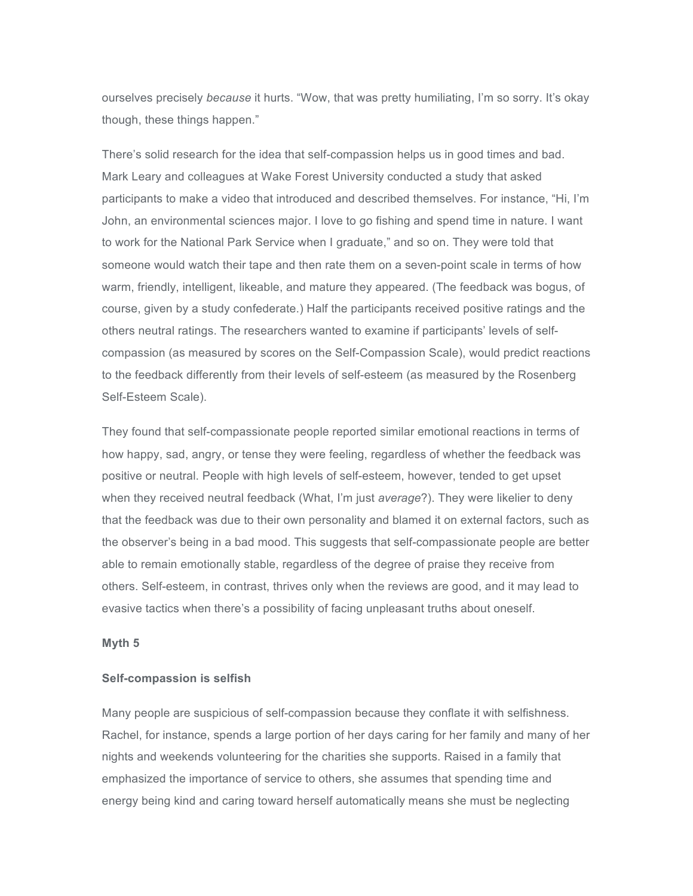ourselves precisely *because* it hurts. "Wow, that was pretty humiliating, I'm so sorry. It's okay though, these things happen."

There's solid research for the idea that self-compassion helps us in good times and bad. Mark Leary and colleagues at Wake Forest University conducted a study that asked participants to make a video that introduced and described themselves. For instance, "Hi, I'm John, an environmental sciences major. I love to go fishing and spend time in nature. I want to work for the National Park Service when I graduate," and so on. They were told that someone would watch their tape and then rate them on a seven-point scale in terms of how warm, friendly, intelligent, likeable, and mature they appeared. (The feedback was bogus, of course, given by a study confederate.) Half the participants received positive ratings and the others neutral ratings. The researchers wanted to examine if participants' levels of selfcompassion (as measured by scores on the Self-Compassion Scale), would predict reactions to the feedback differently from their levels of self-esteem (as measured by the Rosenberg Self-Esteem Scale).

They found that self-compassionate people reported similar emotional reactions in terms of how happy, sad, angry, or tense they were feeling, regardless of whether the feedback was positive or neutral. People with high levels of self-esteem, however, tended to get upset when they received neutral feedback (What, I'm just *average*?). They were likelier to deny that the feedback was due to their own personality and blamed it on external factors, such as the observer's being in a bad mood. This suggests that self-compassionate people are better able to remain emotionally stable, regardless of the degree of praise they receive from others. Self-esteem, in contrast, thrives only when the reviews are good, and it may lead to evasive tactics when there's a possibility of facing unpleasant truths about oneself.

#### **Myth 5**

## **Self-compassion is selfish**

Many people are suspicious of self-compassion because they conflate it with selfishness. Rachel, for instance, spends a large portion of her days caring for her family and many of her nights and weekends volunteering for the charities she supports. Raised in a family that emphasized the importance of service to others, she assumes that spending time and energy being kind and caring toward herself automatically means she must be neglecting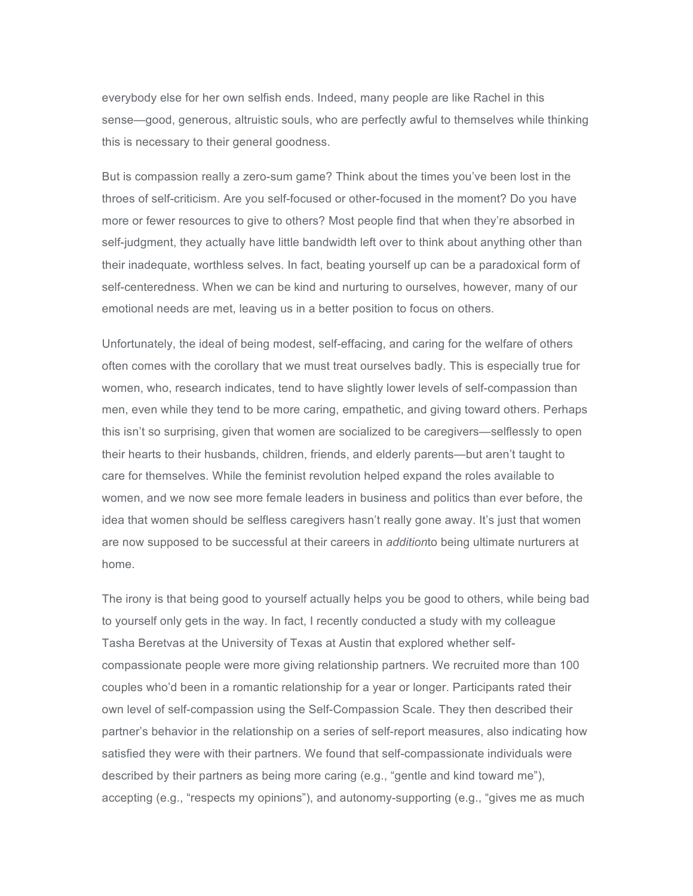everybody else for her own selfish ends. Indeed, many people are like Rachel in this sense—good, generous, altruistic souls, who are perfectly awful to themselves while thinking this is necessary to their general goodness.

But is compassion really a zero-sum game? Think about the times you've been lost in the throes of self-criticism. Are you self-focused or other-focused in the moment? Do you have more or fewer resources to give to others? Most people find that when they're absorbed in self-judgment, they actually have little bandwidth left over to think about anything other than their inadequate, worthless selves. In fact, beating yourself up can be a paradoxical form of self-centeredness. When we can be kind and nurturing to ourselves, however, many of our emotional needs are met, leaving us in a better position to focus on others.

Unfortunately, the ideal of being modest, self-effacing, and caring for the welfare of others often comes with the corollary that we must treat ourselves badly. This is especially true for women, who, research indicates, tend to have slightly lower levels of self-compassion than men, even while they tend to be more caring, empathetic, and giving toward others. Perhaps this isn't so surprising, given that women are socialized to be caregivers—selflessly to open their hearts to their husbands, children, friends, and elderly parents—but aren't taught to care for themselves. While the feminist revolution helped expand the roles available to women, and we now see more female leaders in business and politics than ever before, the idea that women should be selfless caregivers hasn't really gone away. It's just that women are now supposed to be successful at their careers in *addition*to being ultimate nurturers at home.

The irony is that being good to yourself actually helps you be good to others, while being bad to yourself only gets in the way. In fact, I recently conducted a study with my colleague Tasha Beretvas at the University of Texas at Austin that explored whether selfcompassionate people were more giving relationship partners. We recruited more than 100 couples who'd been in a romantic relationship for a year or longer. Participants rated their own level of self-compassion using the Self-Compassion Scale. They then described their partner's behavior in the relationship on a series of self-report measures, also indicating how satisfied they were with their partners. We found that self-compassionate individuals were described by their partners as being more caring (e.g., "gentle and kind toward me"), accepting (e.g., "respects my opinions"), and autonomy-supporting (e.g., "gives me as much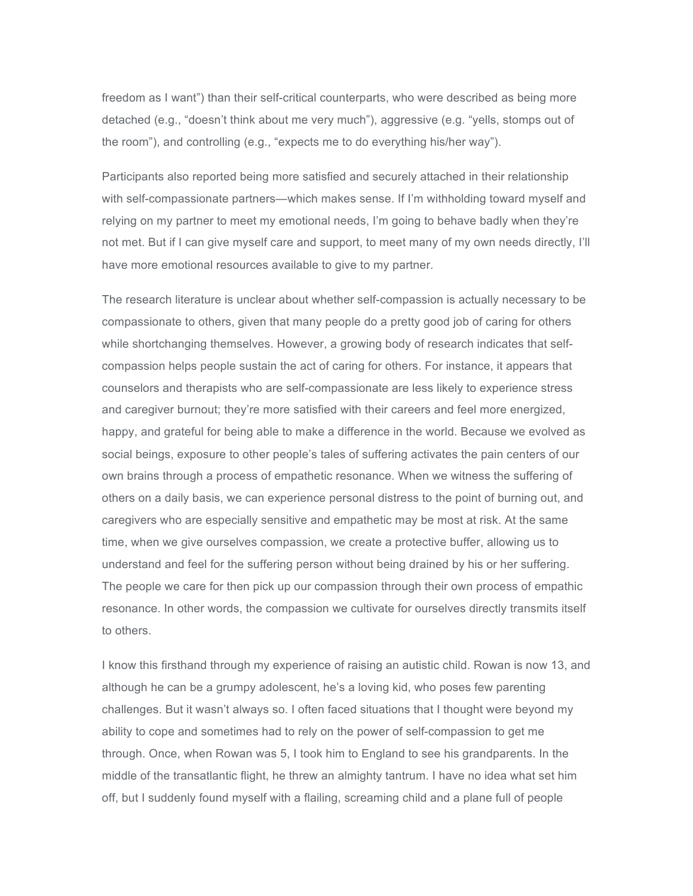freedom as I want") than their self-critical counterparts, who were described as being more detached (e.g., "doesn't think about me very much"), aggressive (e.g. "yells, stomps out of the room"), and controlling (e.g., "expects me to do everything his/her way").

Participants also reported being more satisfied and securely attached in their relationship with self-compassionate partners—which makes sense. If I'm withholding toward myself and relying on my partner to meet my emotional needs, I'm going to behave badly when they're not met. But if I can give myself care and support, to meet many of my own needs directly, I'll have more emotional resources available to give to my partner.

The research literature is unclear about whether self-compassion is actually necessary to be compassionate to others, given that many people do a pretty good job of caring for others while shortchanging themselves. However, a growing body of research indicates that selfcompassion helps people sustain the act of caring for others. For instance, it appears that counselors and therapists who are self-compassionate are less likely to experience stress and caregiver burnout; they're more satisfied with their careers and feel more energized, happy, and grateful for being able to make a difference in the world. Because we evolved as social beings, exposure to other people's tales of suffering activates the pain centers of our own brains through a process of empathetic resonance. When we witness the suffering of others on a daily basis, we can experience personal distress to the point of burning out, and caregivers who are especially sensitive and empathetic may be most at risk. At the same time, when we give ourselves compassion, we create a protective buffer, allowing us to understand and feel for the suffering person without being drained by his or her suffering. The people we care for then pick up our compassion through their own process of empathic resonance. In other words, the compassion we cultivate for ourselves directly transmits itself to others.

I know this firsthand through my experience of raising an autistic child. Rowan is now 13, and although he can be a grumpy adolescent, he's a loving kid, who poses few parenting challenges. But it wasn't always so. I often faced situations that I thought were beyond my ability to cope and sometimes had to rely on the power of self-compassion to get me through. Once, when Rowan was 5, I took him to England to see his grandparents. In the middle of the transatlantic flight, he threw an almighty tantrum. I have no idea what set him off, but I suddenly found myself with a flailing, screaming child and a plane full of people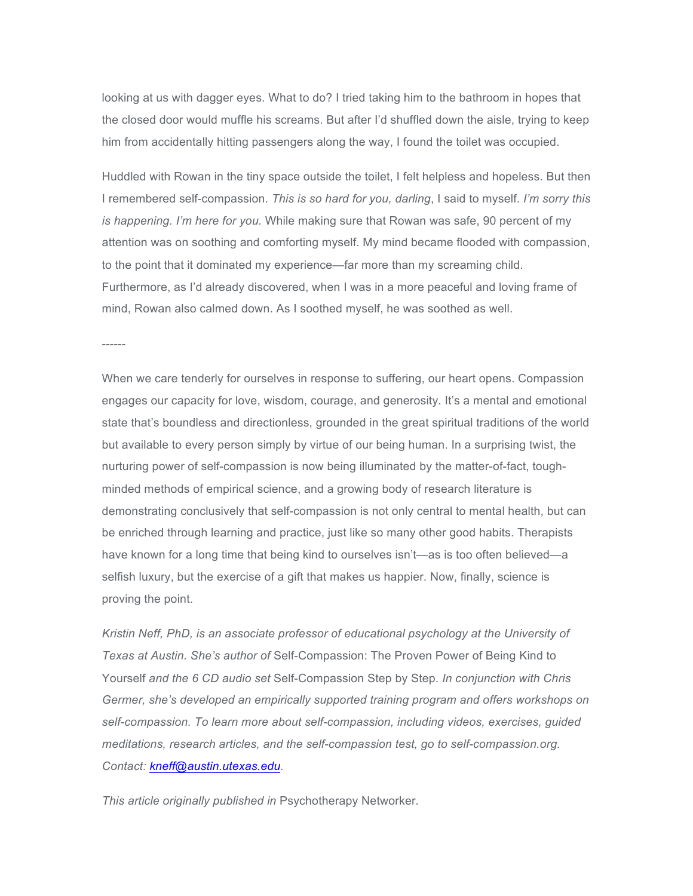looking at us with dagger eyes. What to do? I tried taking him to the bathroom in hopes that the closed door would muffle his screams. But after I'd shuffled down the aisle, trying to keep him from accidentally hitting passengers along the way, I found the toilet was occupied.

Huddled with Rowan in the tiny space outside the toilet, I felt helpless and hopeless. But then I remembered self-compassion. *This is so hard for you, darling*, I said to myself. *I'm sorry this is happening. I'm here for you.* While making sure that Rowan was safe, 90 percent of my attention was on soothing and comforting myself. My mind became flooded with compassion, to the point that it dominated my experience—far more than my screaming child. Furthermore, as I'd already discovered, when I was in a more peaceful and loving frame of mind, Rowan also calmed down. As I soothed myself, he was soothed as well.

When we care tenderly for ourselves in response to suffering, our heart opens. Compassion engages our capacity for love, wisdom, courage, and generosity. It's a mental and emotional state that's boundless and directionless, grounded in the great spiritual traditions of the world but available to every person simply by virtue of our being human. In a surprising twist, the nurturing power of self-compassion is now being illuminated by the matter-of-fact, toughminded methods of empirical science, and a growing body of research literature is demonstrating conclusively that self-compassion is not only central to mental health, but can be enriched through learning and practice, just like so many other good habits. Therapists have known for a long time that being kind to ourselves isn't—as is too often believed—a selfish luxury, but the exercise of a gift that makes us happier. Now, finally, science is proving the point.

*Kristin Neff, PhD, is an associate professor of educational psychology at the University of Texas at Austin. She's author of* Self-Compassion: The Proven Power of Being Kind to Yourself *and the 6 CD audio set* Self-Compassion Step by Step. *In conjunction with Chris Germer, she's developed an empirically supported training program and offers workshops on self-compassion. To learn more about self-compassion, including videos, exercises, guided meditations, research articles, and the self-compassion test, go to self-compassion.org. Contact: kneff@austin.utexas.edu.*

*This article originally published in* Psychotherapy Networker*.*

------